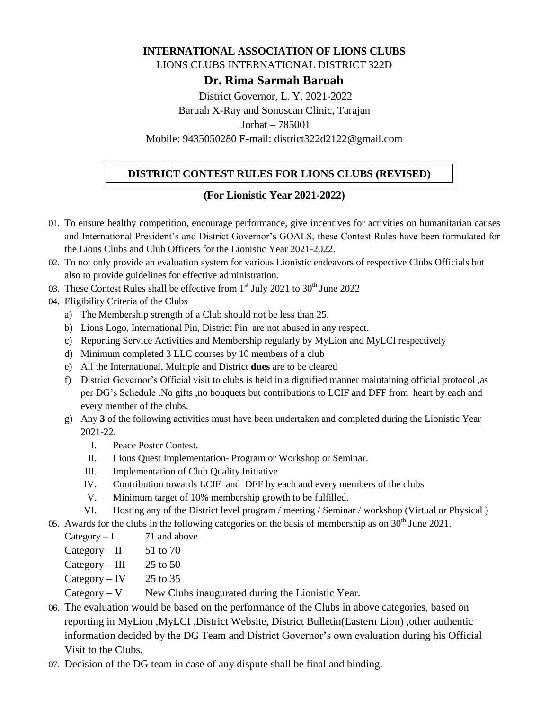### **INTERNATIONAL ASSOCIATION OF LIONS CLUBS**

LIONS CLUBS INTERNATIONAL DISTRICT 322D

**Dr. Rima Sarmah Baruah**

District Governor, L. Y. 2021-2022

Baruah X-Ray and Sonoscan Clinic, Tarajan

Jorhat – 785001

Mobile: 9435050280 E-mail: district322d2122@gmail.com

### **DISTRICT CONTEST RULES FOR LIONS CLUBS (REVISED)**

### **(For Lionistic Year 2021-2022)**

- 01. To ensure healthy competition, encourage performance, give incentives for activities on humanitarian causes and International President's and District Governor's GOALS, these Contest Rules have been formulated for the Lions Clubs and Club Officers for the Lionistic Year 2021-2022.
- 02. To not only provide an evaluation system for various Lionistic endeavors of respective Clubs Officials but also to provide guidelines for effective administration.
- 03. These Contest Rules shall be effective from  $1<sup>st</sup>$  July 2021 to 30<sup>th</sup> June 2022
- 04. Eligibility Criteria of the Clubs
	- a) The Membership strength of a Club should not be less than 25.
	- b) Lions Logo, International Pin, District Pin are not abused in any respect.
	- c) Reporting Service Activities and Membership regularly by MyLion and MyLCI respectively
	- d) Minimum completed 3 LLC courses by 10 members of a club
	- e) All the International, Multiple and District **dues** are to be cleared
	- f) District Governor's Official visit to clubs is held in a dignified manner maintaining official protocol ,as per DG's Schedule .No gifts ,no bouquets but contributions to LCIF and DFF from heart by each and every member of the clubs.
	- g) Any **3** of the following activities must have been undertaken and completed during the Lionistic Year 2021-22.
		- I. Peace Poster Contest.
		- II. Lions Quest Implementation- Program or Workshop or Seminar.
		- III. Implementation of Club Quality Initiative
		- IV. Contribution towards LCIF and DFF by each and every members of the clubs
		- V. Minimum target of 10% membership growth to be fulfilled.
		- VI. Hosting any of the District level program / meeting / Seminar / workshop (Virtual or Physical )
- 05. Awards for the clubs in the following categories on the basis of membership as on  $30<sup>th</sup>$  June 2021.
	- Category  $-1$  71 and above
	- Category II  $51$  to 70
	- Category III  $\qquad$  25 to 50
	- Category IV  $25$  to 35
	- $Category V$  New Clubs inaugurated during the Lionistic Year.
- 06. The evaluation would be based on the performance of the Clubs in above categories, based on reporting in MyLion ,MyLCI ,District Website, District Bulletin(Eastern Lion) ,other authentic information decided by the DG Team and District Governor's own evaluation during his Official Visit to the Clubs.
- 07. Decision of the DG team in case of any dispute shall be final and binding.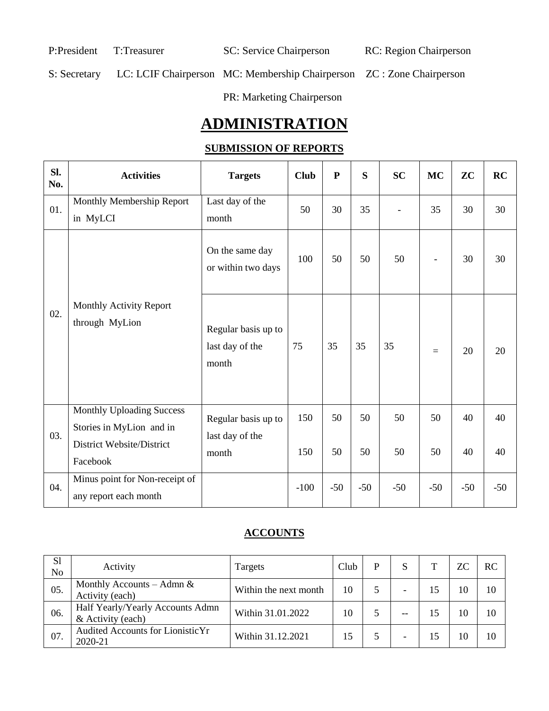P:President T:Treasurer SC: Service Chairperson RC: Region Chairperson

S: Secretary LC: LCIF Chairperson MC: Membership Chairperson ZC : Zone Chairperson

PR: Marketing Chairperson

# **ADMINISTRATION**

# **SUBMISSION OF REPORTS**

| Sl.<br>No. | <b>Activities</b>                                                                         | <b>Targets</b>                                  | <b>Club</b> | ${\bf P}$ | S     | <b>SC</b> | <b>MC</b>                | ZC    | RC    |
|------------|-------------------------------------------------------------------------------------------|-------------------------------------------------|-------------|-----------|-------|-----------|--------------------------|-------|-------|
| 01.        | Monthly Membership Report<br>in MyLCI                                                     | Last day of the<br>month                        | 50          | 30        | 35    |           | 35                       | 30    | 30    |
| 02.        |                                                                                           | On the same day<br>or within two days           | 100         | 50        | 50    | 50        | $\overline{\phantom{a}}$ | 30    | 30    |
|            | Monthly Activity Report<br>through MyLion                                                 | Regular basis up to<br>last day of the<br>month | 75          | 35        | 35    | 35        | $=$                      | 20    | 20    |
| 03.        | <b>Monthly Uploading Success</b><br>Stories in MyLion and in<br>District Website/District | Regular basis up to<br>last day of the          | 150         | 50        | 50    | 50        | 50                       | 40    | 40    |
|            | Facebook                                                                                  | month                                           | 150         | 50        | 50    | 50        | 50                       | 40    | 40    |
| 04.        | Minus point for Non-receipt of<br>any report each month                                   |                                                 | $-100$      | $-50$     | $-50$ | $-50$     | $-50$                    | $-50$ | $-50$ |

# **ACCOUNTS**

| S1<br>No | Activity                                              | Targets               | Club | D |                          | ZС | <b>RC</b> |
|----------|-------------------------------------------------------|-----------------------|------|---|--------------------------|----|-----------|
| 05.      | Monthly Accounts – Admn $\&$<br>Activity (each)       | Within the next month | 10   |   |                          | 10 | 10        |
| 06.      | Half Yearly/Yearly Accounts Admn<br>& Activity (each) | Within 31.01.2022     | 10   |   | --                       | 10 | 10        |
| 07.      | Audited Accounts for Lionistic Yr<br>2020-21          | Within 31.12.2021     | 15   |   | $\overline{\phantom{0}}$ | 10 | 10        |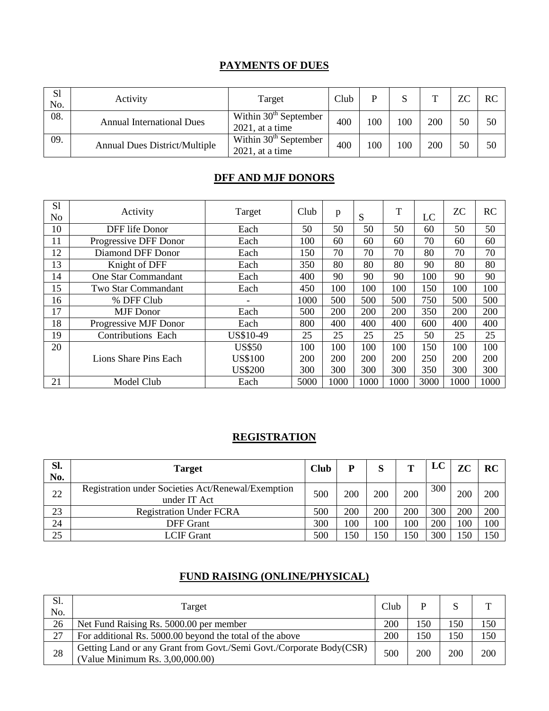### **PAYMENTS OF DUES**

| S1<br>No. | Activity                             | Target                                        | Club | D   | S   | $\mathbf{\mathbf{\mathsf{\Gamma}}}$ | <b>ZC</b> | <b>RC</b> |
|-----------|--------------------------------------|-----------------------------------------------|------|-----|-----|-------------------------------------|-----------|-----------|
| 08.       | <b>Annual International Dues</b>     | Within $30th$ September<br>$2021$ , at a time | 400  | 100 | 100 | 200                                 | 50        | 50        |
| 09.       | <b>Annual Dues District/Multiple</b> | Within $30th$ September<br>$2021$ , at a time | 400  | 100 | 100 | 200                                 | 50        | 50        |

### **DFF AND MJF DONORS**

| S <sub>1</sub><br>N <sub>o</sub> | Activity                  | Target         | Club | p    | S    | T    | LC         | <b>ZC</b> | <b>RC</b> |
|----------------------------------|---------------------------|----------------|------|------|------|------|------------|-----------|-----------|
| 10                               | DFF life Donor            | Each           | 50   | 50   | 50   | 50   | 60         | 50        | 50        |
| 11                               | Progressive DFF Donor     | Each           | 100  | 60   | 60   | 60   | 70         | 60        | 60        |
| 12                               | Diamond DFF Donor         | Each           | 150  | 70   | 70   | 70   | 80         | 70        | 70        |
| 13                               | Knight of DFF             | Each           | 350  | 80   | 80   | 80   | 90         | 80        | 80        |
| 14                               | One Star Commandant       | Each           | 400  | 90   | 90   | 90   | 100        | 90        | 90        |
| 15                               | Two Star Commandant       | Each           | 450  | 100  | 100  | 100  | <b>150</b> | 100       | 100       |
| 16                               | % DFF Club                |                | 1000 | 500  | 500  | 500  | 750        | 500       | 500       |
| 17                               | <b>MJF</b> Donor          | Each           | 500  | 200  | 200  | 200  | 350        | 200       | 200       |
| 18                               | Progressive MJF Donor     | Each           | 800  | 400  | 400  | 400  | 600        | 400       | 400       |
| 19                               | <b>Contributions Each</b> | US\$10-49      | 25   | 25   | 25   | 25   | 50         | 25        | 25        |
| 20                               |                           | <b>US\$50</b>  | 100  | 100  | 100  | 100  | 150        | 100       | 100       |
|                                  | Lions Share Pins Each     | <b>US\$100</b> | 200  | 200  | 200  | 200  | 250        | 200       | 200       |
|                                  |                           | <b>US\$200</b> | 300  | 300  | 300  | 300  | 350        | 300       | 300       |
| 21                               | Model Club                | Each           | 5000 | 1000 | 1000 | 1000 | 3000       | 1000      | 1000      |

### **REGISTRATION**

| Sl.<br>No. | <b>Target</b>                                                      | <b>Club</b> | D   | S   | T   | LC  | ZC  | RC  |
|------------|--------------------------------------------------------------------|-------------|-----|-----|-----|-----|-----|-----|
| 22         | Registration under Societies Act/Renewal/Exemption<br>under IT Act | 500         | 200 | 200 | 200 | 300 | 200 | 200 |
| 23         | <b>Registration Under FCRA</b>                                     | 500         | 200 | 200 | 200 | 300 | 200 | 200 |
| 24         | DFF Grant                                                          | 300         | 100 | 100 | 100 | 200 | 100 | 100 |
| 25         | <b>LCIF Grant</b>                                                  | 500         | 50  | 150 | 150 | 300 | .50 | 150 |

# **FUND RAISING (ONLINE/PHYSICAL)**

| Sl.<br>No. | Target                                                                                                 | Club |            |     | ட   |
|------------|--------------------------------------------------------------------------------------------------------|------|------------|-----|-----|
| 26         | Net Fund Raising Rs. 5000.00 per member                                                                | 200  | 150        | 150 | 150 |
| 27         | For additional Rs. 5000.00 beyond the total of the above                                               | 200  | 150        | 150 | 150 |
| 28         | Getting Land or any Grant from Govt./Semi Govt./Corporate Body(CSR)<br>(Value Minimum Rs. 3,00,000.00) | 500  | <b>200</b> | 200 | 200 |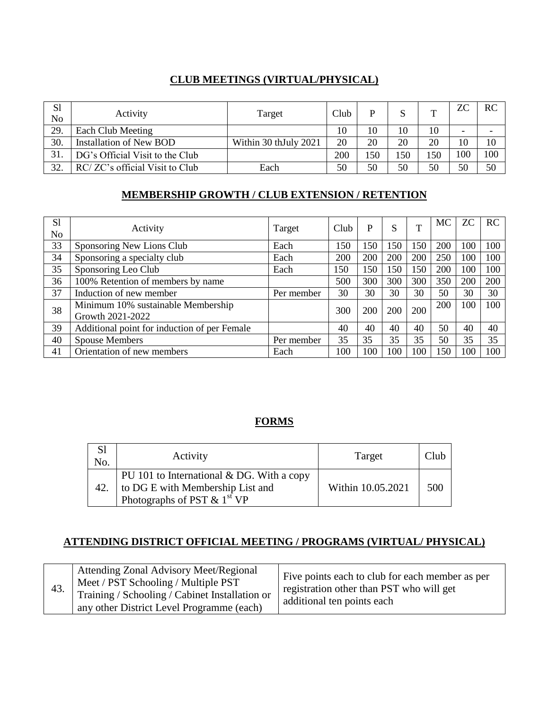### **CLUB MEETINGS (VIRTUAL/PHYSICAL)**

| S <sub>1</sub><br>No | Activity                        | Target                | Club | D   |     |     | ZС  | RC  |
|----------------------|---------------------------------|-----------------------|------|-----|-----|-----|-----|-----|
| 29.                  | Each Club Meeting               |                       | 10   | 10  | 10  | 10  | -   |     |
| 30.                  | <b>Installation of New BOD</b>  | Within 30 thJuly 2021 | 20   | 20  | 20  | 20  | 10  | 10  |
| 31.                  | DG's Official Visit to the Club |                       | 200  | .50 | 150 | 150 | 100 | 100 |
| 32.                  | RC/ZC's official Visit to Club  | Each                  | 50   | 50  | 50  | 50  | 50  | 50  |

# **MEMBERSHIP GROWTH / CLUB EXTENSION / RETENTION**

| S <sub>1</sub><br>N <sub>o</sub> | Activity                                               | Target     | Club | P   | S   | $\mathbf{T}$ | MC  | ZС  | RC  |
|----------------------------------|--------------------------------------------------------|------------|------|-----|-----|--------------|-----|-----|-----|
| 33                               | Sponsoring New Lions Club                              | Each       | 150  | 150 | 150 | 150          | 200 | 100 | 100 |
| 34                               | Sponsoring a specialty club                            | Each       | 200  | 200 | 200 | 200          | 250 | 100 | 100 |
| 35                               | Sponsoring Leo Club                                    | Each       | 150  | 150 | 150 | 150          | 200 | 100 | 100 |
| 36                               | 100% Retention of members by name                      |            | 500  | 300 | 300 | 300          | 350 | 200 | 200 |
| 37                               | Induction of new member                                | Per member | 30   | 30  | 30  | 30           | 50  | 30  | 30  |
| 38                               | Minimum 10% sustainable Membership<br>Growth 2021-2022 |            | 300  | 200 | 200 | 200          | 200 | 100 | 100 |
| 39                               | Additional point for induction of per Female           |            | 40   | 40  | 40  | 40           | 50  | 40  | 40  |
| 40                               | <b>Spouse Members</b>                                  | Per member | 35   | 35  | 35  | 35           | 50  | 35  | 35  |
| 41                               | Orientation of new members                             | Each       | 100  | 100 | 100 | 100          | 150 | 100 | 100 |

# **FORMS**

| No. | Activity                                                                                                       | Target            | Club |
|-----|----------------------------------------------------------------------------------------------------------------|-------------------|------|
| 42. | PU 101 to International & DG. With a copy<br>to DG E with Membership List and<br>Photographs of PST $& 1st VP$ | Within 10.05.2021 | 500  |

### **ATTENDING DISTRICT OFFICIAL MEETING / PROGRAMS (VIRTUAL/ PHYSICAL)**

| 43. | <b>Attending Zonal Advisory Meet/Regional</b><br>Meet / PST Schooling / Multiple PST<br>Training / Schooling / Cabinet Installation or<br>any other District Level Programme (each) | Five points each to club for each member as per<br>registration other than PST who will get<br>additional ten points each |
|-----|-------------------------------------------------------------------------------------------------------------------------------------------------------------------------------------|---------------------------------------------------------------------------------------------------------------------------|
|-----|-------------------------------------------------------------------------------------------------------------------------------------------------------------------------------------|---------------------------------------------------------------------------------------------------------------------------|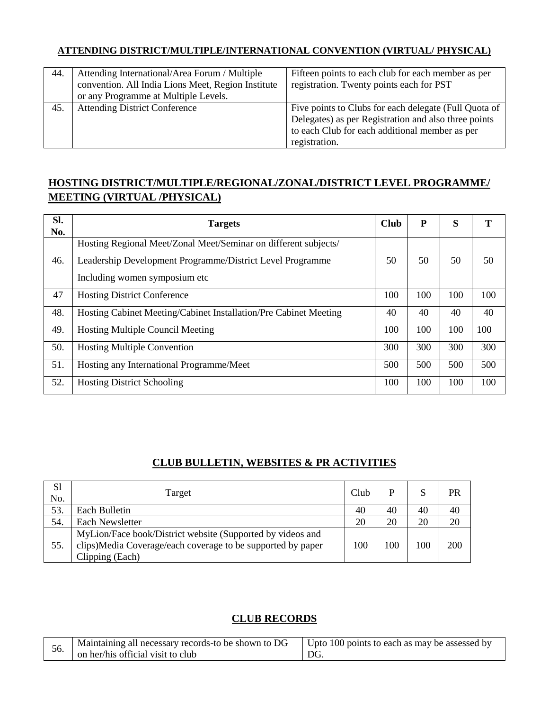### **ATTENDING DISTRICT/MULTIPLE/INTERNATIONAL CONVENTION (VIRTUAL/ PHYSICAL)**

| 44. | Attending International/Area Forum / Multiple<br>convention. All India Lions Meet, Region Institute | Fifteen points to each club for each member as per<br>registration. Twenty points each for PST |
|-----|-----------------------------------------------------------------------------------------------------|------------------------------------------------------------------------------------------------|
|     | or any Programme at Multiple Levels.                                                                |                                                                                                |
|     |                                                                                                     |                                                                                                |
| 45. | <b>Attending District Conference</b>                                                                | Five points to Clubs for each delegate (Full Quota of                                          |
|     |                                                                                                     | Delegates) as per Registration and also three points                                           |
|     |                                                                                                     | to each Club for each additional member as per                                                 |
|     |                                                                                                     | registration.                                                                                  |

# **HOSTING DISTRICT/MULTIPLE/REGIONAL/ZONAL/DISTRICT LEVEL PROGRAMME/ MEETING (VIRTUAL /PHYSICAL)**

| SI.<br>No. | <b>Targets</b>                                                                                                                                                 | <b>Club</b> | P   | S   | T   |
|------------|----------------------------------------------------------------------------------------------------------------------------------------------------------------|-------------|-----|-----|-----|
| 46.        | Hosting Regional Meet/Zonal Meet/Seminar on different subjects/<br>Leadership Development Programme/District Level Programme<br>Including women symposium etc. | 50          | 50  | 50  | 50  |
| 47         | <b>Hosting District Conference</b>                                                                                                                             | 100         | 100 | 100 | 100 |
| 48.        | Hosting Cabinet Meeting/Cabinet Installation/Pre Cabinet Meeting                                                                                               | 40          | 40  | 40  | 40  |
| 49.        | <b>Hosting Multiple Council Meeting</b>                                                                                                                        | 100         | 100 | 100 | 100 |
| 50.        | <b>Hosting Multiple Convention</b>                                                                                                                             | 300         | 300 | 300 | 300 |
| 51.        | Hosting any International Programme/Meet                                                                                                                       | 500         | 500 | 500 | 500 |
| 52.        | <b>Hosting District Schooling</b>                                                                                                                              | 100         | 100 | 100 | 100 |

### **CLUB BULLETIN, WEBSITES & PR ACTIVITIES**

| S <sub>1</sub><br>No. | Target                                                                                                                                       | Club | D   | S   | PR  |
|-----------------------|----------------------------------------------------------------------------------------------------------------------------------------------|------|-----|-----|-----|
| 53.                   | Each Bulletin                                                                                                                                | 40   | 40  | 40  | 40  |
| 54.                   | Each Newsletter                                                                                                                              | 20   | 20  | 20  | 20  |
| 55.                   | MyLion/Face book/District website (Supported by videos and<br>clips)Media Coverage/each coverage to be supported by paper<br>Clipping (Each) | 100  | 100 | 100 | 200 |

### **CLUB RECORDS**

| Maintaining all necessary records-to be shown to DG<br>56.<br>on her/his official visit to club | Upto 100 points to each as may be assessed by<br>DG. |
|-------------------------------------------------------------------------------------------------|------------------------------------------------------|
|-------------------------------------------------------------------------------------------------|------------------------------------------------------|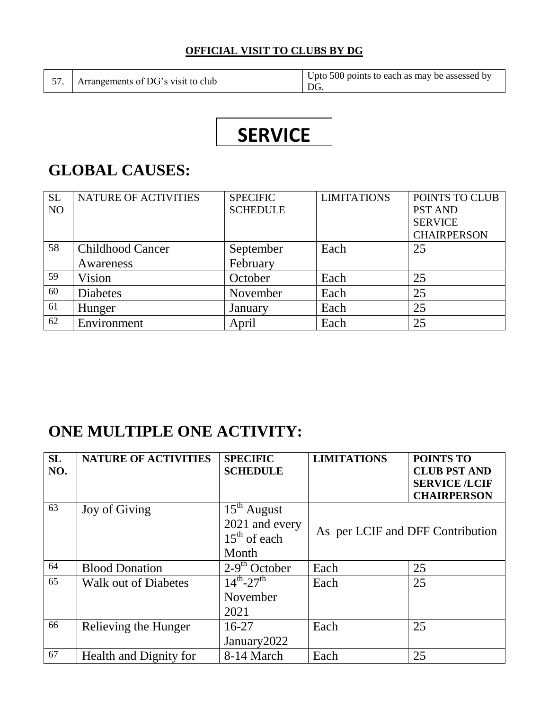### **OFFICIAL VISIT TO CLUBS BY DG**

57. Arrangements of DG's visit to club Upto 500 points to each as may be assessed by DG.

# **SERVICE**

# **GLOBAL CAUSES:**

| <b>SL</b>      | <b>NATURE OF ACTIVITIES</b> | <b>SPECIFIC</b> | <b>LIMITATIONS</b> | POINTS TO CLUB     |
|----------------|-----------------------------|-----------------|--------------------|--------------------|
| N <sub>O</sub> |                             | <b>SCHEDULE</b> |                    | <b>PST AND</b>     |
|                |                             |                 |                    | <b>SERVICE</b>     |
|                |                             |                 |                    | <b>CHAIRPERSON</b> |
| 58             | <b>Childhood Cancer</b>     | September       | Each               | 25                 |
|                | Awareness                   | February        |                    |                    |
| 59             | Vision                      | October         | Each               | 25                 |
| 60             | <b>Diabetes</b>             | November        | Each               | 25                 |
| 61             | Hunger                      | January         | Each               | 25                 |
| 62             | Environment                 | April           | Each               | 25                 |

# **ONE MULTIPLE ONE ACTIVITY:**

| <b>SL</b><br>NO. | <b>NATURE OF ACTIVITIES</b> | <b>SPECIFIC</b><br><b>SCHEDULE</b>                         | <b>LIMITATIONS</b>               | POINTS TO<br><b>CLUB PST AND</b>           |
|------------------|-----------------------------|------------------------------------------------------------|----------------------------------|--------------------------------------------|
|                  |                             |                                                            |                                  | <b>SERVICE /LCIF</b><br><b>CHAIRPERSON</b> |
| 63               | Joy of Giving               | $15th$ August<br>2021 and every<br>$15th$ of each<br>Month | As per LCIF and DFF Contribution |                                            |
| 64               | <b>Blood Donation</b>       | $2-9th$ October                                            | Each                             | 25                                         |
| 65               | <b>Walk out of Diabetes</b> | $14^{th} - 27^{th}$<br>November<br>2021                    | Each                             | 25                                         |
| 66               | Relieving the Hunger        | $16-27$<br>January <sub>2022</sub>                         | Each                             | 25                                         |
| 67               | Health and Dignity for      | 8-14 March                                                 | Each                             | 25                                         |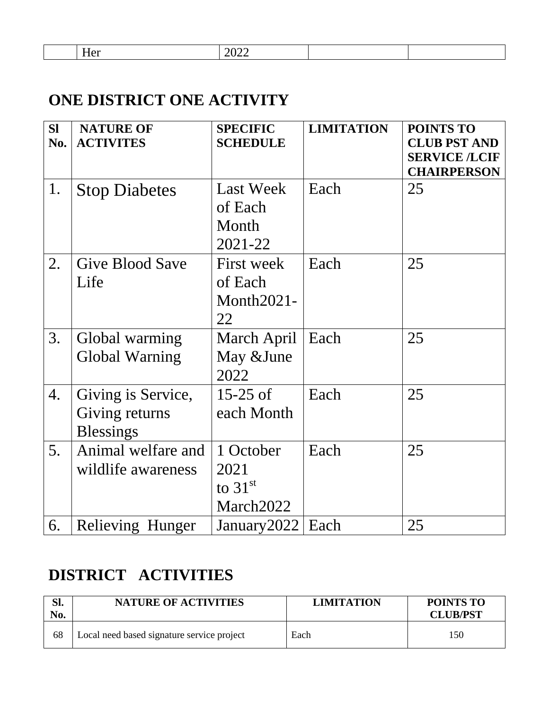Her 2022

# **ONE DISTRICT ONE ACTIVITY**

| <b>SI</b> | <b>NATURE OF</b>                                         | <b>SPECIFIC</b>                                 | <b>LIMITATION</b> | <b>POINTS TO</b>                            |
|-----------|----------------------------------------------------------|-------------------------------------------------|-------------------|---------------------------------------------|
| No.       | <b>ACTIVITES</b>                                         | <b>SCHEDULE</b>                                 |                   | <b>CLUB PST AND</b><br><b>SERVICE /LCIF</b> |
|           |                                                          |                                                 |                   | <b>CHAIRPERSON</b>                          |
| 1.        | <b>Stop Diabetes</b>                                     | <b>Last Week</b><br>of Each<br>Month<br>2021-22 | Each              | 25                                          |
| 2.        | <b>Give Blood Save</b><br>Life                           | First week<br>of Each<br>Month2021-<br>22       | Each              | 25                                          |
| 3.        | Global warming<br><b>Global Warning</b>                  | March April<br>May &June<br>2022                | Each              | 25                                          |
| 4.        | Giving is Service,<br>Giving returns<br><b>Blessings</b> | $15-25$ of<br>each Month                        | Each              | 25                                          |
| 5.        | Animal welfare and<br>wildlife awareness                 | 1 October<br>2021<br>to $31st$<br>March2022     | Each              | 25                                          |
| 6.        | Relieving Hunger                                         | January 2022                                    | Each              | 25                                          |

# **DISTRICT ACTIVITIES**

| Sl.<br>No. | <b>NATURE OF ACTIVITIES</b>                | <b>LIMITATION</b> | <b>POINTS TO</b><br><b>CLUB/PST</b> |
|------------|--------------------------------------------|-------------------|-------------------------------------|
| 68         | Local need based signature service project | Each              | 150                                 |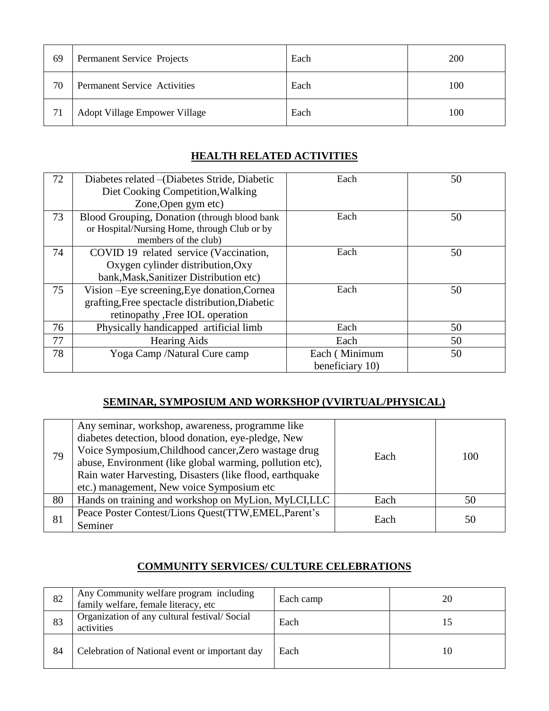| 69 | Permanent Service Projects          | Each | 200 |
|----|-------------------------------------|------|-----|
| 70 | <b>Permanent Service Activities</b> | Each | 100 |
| 71 | Adopt Village Empower Village       | Each | 100 |

# **HEALTH RELATED ACTIVITIES**

| 72 | Diabetes related – (Diabetes Stride, Diabetic   | Each            | 50 |
|----|-------------------------------------------------|-----------------|----|
|    | Diet Cooking Competition, Walking               |                 |    |
|    | Zone, Open gym etc)                             |                 |    |
| 73 | Blood Grouping, Donation (through blood bank    | Each            | 50 |
|    | or Hospital/Nursing Home, through Club or by    |                 |    |
|    | members of the club)                            |                 |    |
| 74 | COVID 19 related service (Vaccination,          | Each            | 50 |
|    | Oxygen cylinder distribution, Oxy               |                 |    |
|    | bank, Mask, Sanitizer Distribution etc)         |                 |    |
| 75 | Vision - Eye screening, Eye donation, Cornea    | Each            | 50 |
|    | grafting, Free spectacle distribution, Diabetic |                 |    |
|    | retinopathy , Free IOL operation                |                 |    |
| 76 | Physically handicapped artificial limb          | Each            | 50 |
| 77 | <b>Hearing Aids</b>                             | Each            | 50 |
| 78 | Yoga Camp /Natural Cure camp                    | Each (Minimum   | 50 |
|    |                                                 | beneficiary 10) |    |

# **SEMINAR, SYMPOSIUM AND WORKSHOP (VVIRTUAL/PHYSICAL)**

| 79 | Any seminar, workshop, awareness, programme like<br>diabetes detection, blood donation, eye-pledge, New<br>Voice Symposium, Childhood cancer, Zero wastage drug<br>abuse, Environment (like global warming, pollution etc),<br>Rain water Harvesting, Disasters (like flood, earthquake<br>etc.) management, New voice Symposium etc | Each | 100 |
|----|--------------------------------------------------------------------------------------------------------------------------------------------------------------------------------------------------------------------------------------------------------------------------------------------------------------------------------------|------|-----|
| 80 | Hands on training and workshop on MyLion, MyLCI, LLC                                                                                                                                                                                                                                                                                 | Each | 50  |
| 81 | Peace Poster Contest/Lions Quest(TTW, EMEL, Parent's<br>Seminer                                                                                                                                                                                                                                                                      | Each | 50  |

# **COMMUNITY SERVICES/ CULTURE CELEBRATIONS**

| 82 | Any Community welfare program including<br>family welfare, female literacy, etc | Each camp | 20 |
|----|---------------------------------------------------------------------------------|-----------|----|
| 83 | Organization of any cultural festival/Social<br>activities                      | Each      |    |
| 84 | Celebration of National event or important day                                  | Each      | 10 |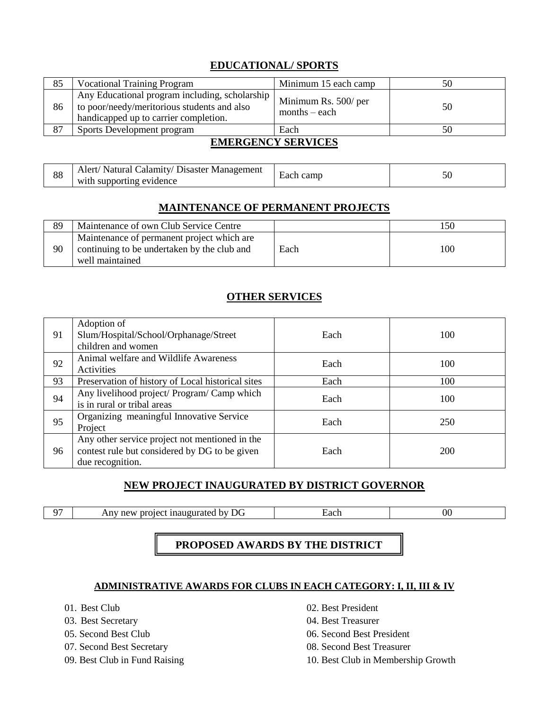# **EDUCATIONAL/ SPORTS**

| 85 | <b>Vocational Training Program</b>                                                                                                     | Minimum 15 each camp                    | 50 |
|----|----------------------------------------------------------------------------------------------------------------------------------------|-----------------------------------------|----|
| 86 | Any Educational program including, scholarship<br>to poor/needy/meritorious students and also<br>handicapped up to carrier completion. | Minimum Rs. 500/ per<br>$months - each$ | 50 |
| 87 | Sports Development program                                                                                                             | Each                                    | 50 |
|    |                                                                                                                                        |                                         |    |

### **EMERGENCY SERVICES**

| 88 | Alert/ Natural Calamity/ Disaster Management<br>with supporting evidence | $\overline{\phantom{0}}$<br>Each camp |  |
|----|--------------------------------------------------------------------------|---------------------------------------|--|
|----|--------------------------------------------------------------------------|---------------------------------------|--|

### **MAINTENANCE OF PERMANENT PROJECTS**

| 89 | Maintenance of own Club Service Centre                                                                       |      | .50 |
|----|--------------------------------------------------------------------------------------------------------------|------|-----|
| 90 | Maintenance of permanent project which are<br>continuing to be undertaken by the club and<br>well maintained | Each | 100 |

### **OTHER SERVICES**

| 91 | Adoption of<br>Slum/Hospital/School/Orphanage/Street<br>children and women                                          | Each | 100 |
|----|---------------------------------------------------------------------------------------------------------------------|------|-----|
| 92 | Animal welfare and Wildlife Awareness<br>Activities                                                                 | Each | 100 |
| 93 | Preservation of history of Local historical sites                                                                   | Each | 100 |
| 94 | Any livelihood project/ Program/ Camp which<br>is in rural or tribal areas                                          | Each | 100 |
| 95 | Organizing meaningful Innovative Service<br>Project                                                                 | Each | 250 |
| 96 | Any other service project not mentioned in the<br>contest rule but considered by DG to be given<br>due recognition. | Each | 200 |

### **NEW PROJECT INAUGURATED BY DISTRICT GOVERNOR**

97 Any new project inaugurated by DG Each 600

### **PROPOSED AWARDS BY THE DISTRICT**

### **ADMINISTRATIVE AWARDS FOR CLUBS IN EACH CATEGORY: I, II, III & IV**

- 
- 
- 
- 
- 
- 01. Best Club 02. Best President
- 03. Best Secretary 04. Best Treasurer
- 05. Second Best Club 06. Second Best President
- 07. Second Best Secretary 08. Second Best Treasurer
- 09. Best Club in Fund Raising 10. Best Club in Membership Growth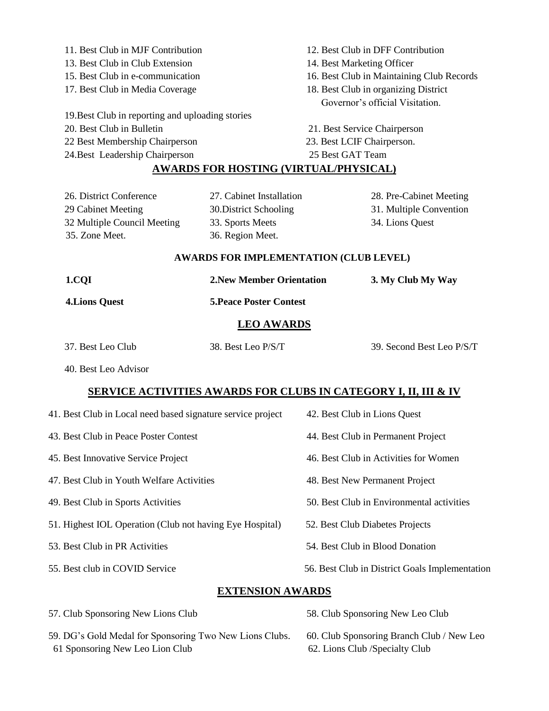11. Best Club in MJF Contribution 12. Best Club in DFF Contribution 13. Best Club in Club Extension 14. Best Marketing Officer 15. Best Club in e-communication 16. Best Club in Maintaining Club Records 17. Best Club in Media Coverage 18. Best Club in organizing District Governor's official Visitation. 19.Best Club in reporting and uploading stories 20. Best Club in Bulletin 21. Best Service Chairperson 22 Best Membership Chairperson 23. Best LCIF Chairperson. 24.Best Leadership Chairperson 25 Best GAT Team **AWARDS FOR HOSTING (VIRTUAL/PHYSICAL)** 26. District Conference 27. Cabinet Installation 28. Pre-Cabinet Meeting 29 Cabinet Meeting 30.District Schooling 31. Multiple Convention 32 Multiple Council Meeting 33. Sports Meets 34. Lions Quest 35. Zone Meet. 36. Region Meet.

#### **AWARDS FOR IMPLEMENTATION (CLUB LEVEL)**

| 1.COI                 | <b>2. New Member Orientation</b> | 3. My Club My Way |
|-----------------------|----------------------------------|-------------------|
| <b>4. Lions Quest</b> | <b>5. Peace Poster Contest</b>   |                   |
|                       | <b>LEO AWARDS</b>                |                   |
|                       |                                  |                   |

| 37. Best Leo Club | 38. Best Leo P/S/T | 39. Second Best Leo P/S/T |
|-------------------|--------------------|---------------------------|
|                   |                    |                           |

40. Best Leo Advisor

### **SERVICE ACTIVITIES AWARDS FOR CLUBS IN CATEGORY I, II, III & IV**

| <b>EVERICLON</b> LWLDDG                                     |                                                |  |  |  |
|-------------------------------------------------------------|------------------------------------------------|--|--|--|
| 55. Best club in COVID Service                              | 56. Best Club in District Goals Implementation |  |  |  |
| 53. Best Club in PR Activities                              | 54. Best Club in Blood Donation                |  |  |  |
| 51. Highest IOL Operation (Club not having Eye Hospital)    | 52. Best Club Diabetes Projects                |  |  |  |
| 49. Best Club in Sports Activities                          | 50. Best Club in Environmental activities      |  |  |  |
| 47. Best Club in Youth Welfare Activities                   | 48. Best New Permanent Project                 |  |  |  |
| 45. Best Innovative Service Project                         | 46. Best Club in Activities for Women          |  |  |  |
| 43. Best Club in Peace Poster Contest                       | 44. Best Club in Permanent Project             |  |  |  |
| 41. Best Club in Local need based signature service project | 42. Best Club in Lions Quest                   |  |  |  |

### **EXTENSION AWARDS**

59. DG's Gold Medal for Sponsoring Two New Lions Clubs. 60. Club Sponsoring Branch Club / New Leo 61 Sponsoring New Leo Lion Club 62. Lions Club /Specialty Club

57. Club Sponsoring New Lions Club 58. Club Sponsoring New Leo Club